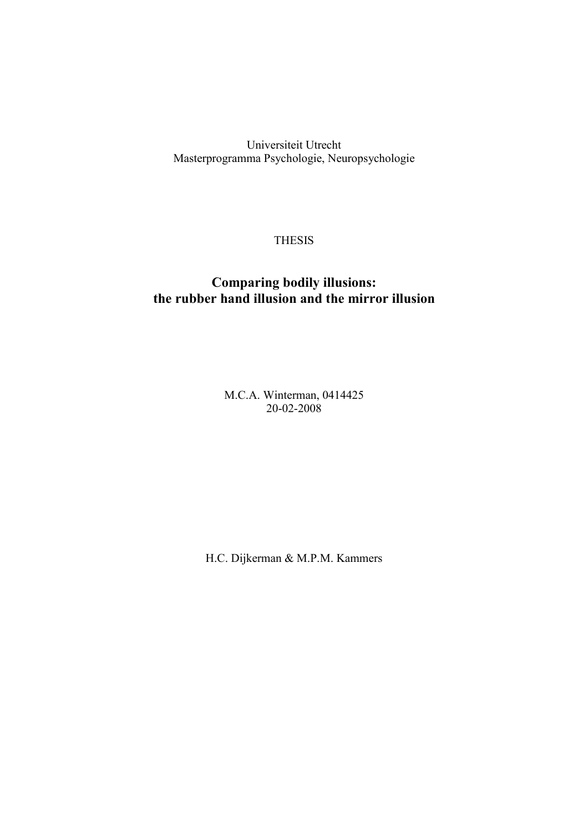Universiteit Utrecht Masterprogramma Psychologie, Neuropsychologie

# THESIS

# Comparing bodily illusions: the rubber hand illusion and the mirror illusion

M.C.A. Winterman, 0414425 20-02-2008

H.C. Dijkerman & M.P.M. Kammers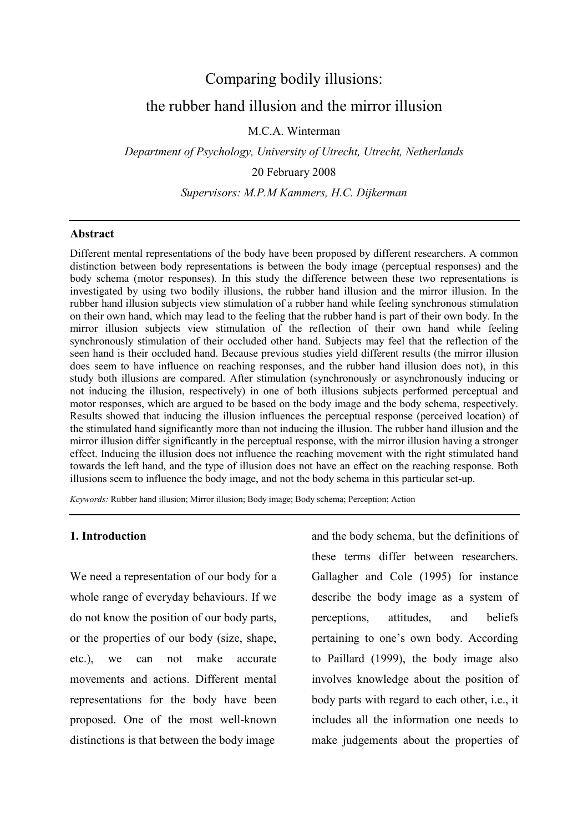# Comparing bodily illusions: the rubber hand illusion and the mirror illusion

M.C.A. Winterman

Department of Psychology, University of Utrecht, Utrecht, Netherlands

20 February 2008

Supervisors: M.P.M Kammers, H.C. Dijkerman

#### Abstract

Different mental representations of the body have been proposed by different researchers. A common distinction between body representations is between the body image (perceptual responses) and the body schema (motor responses). In this study the difference between these two representations is investigated by using two bodily illusions, the rubber hand illusion and the mirror illusion. In the rubber hand illusion subjects view stimulation of a rubber hand while feeling synchronous stimulation on their own hand, which may lead to the feeling that the rubber hand is part of their own body. In the mirror illusion subjects view stimulation of the reflection of their own hand while feeling synchronously stimulation of their occluded other hand. Subjects may feel that the reflection of the seen hand is their occluded hand. Because previous studies yield different results (the mirror illusion does seem to have influence on reaching responses, and the rubber hand illusion does not), in this study both illusions are compared. After stimulation (synchronously or asynchronously inducing or not inducing the illusion, respectively) in one of both illusions subjects performed perceptual and motor responses, which are argued to be based on the body image and the body schema, respectively. Results showed that inducing the illusion influences the perceptual response (perceived location) of the stimulated hand significantly more than not inducing the illusion. The rubber hand illusion and the mirror illusion differ significantly in the perceptual response, with the mirror illusion having a stronger effect. Inducing the illusion does not influence the reaching movement with the right stimulated hand towards the left hand, and the type of illusion does not have an effect on the reaching response. Both illusions seem to influence the body image, and not the body schema in this particular set-up.

Keywords: Rubber hand illusion; Mirror illusion; Body image; Body schema; Perception; Action

### 1. Introduction

We need a representation of our body for a whole range of everyday behaviours. If we do not know the position of our body parts, or the properties of our body (size, shape, etc.), we can not make accurate movements and actions. Different mental representations for the body have been proposed. One of the most well-known distinctions is that between the body image

and the body schema, but the definitions of these terms differ between researchers. Gallagher and Cole (1995) for instance describe the body image as a system of perceptions, attitudes, and beliefs pertaining to one's own body. According to Paillard (1999), the body image also involves knowledge about the position of body parts with regard to each other, i.e., it includes all the information one needs to make judgements about the properties of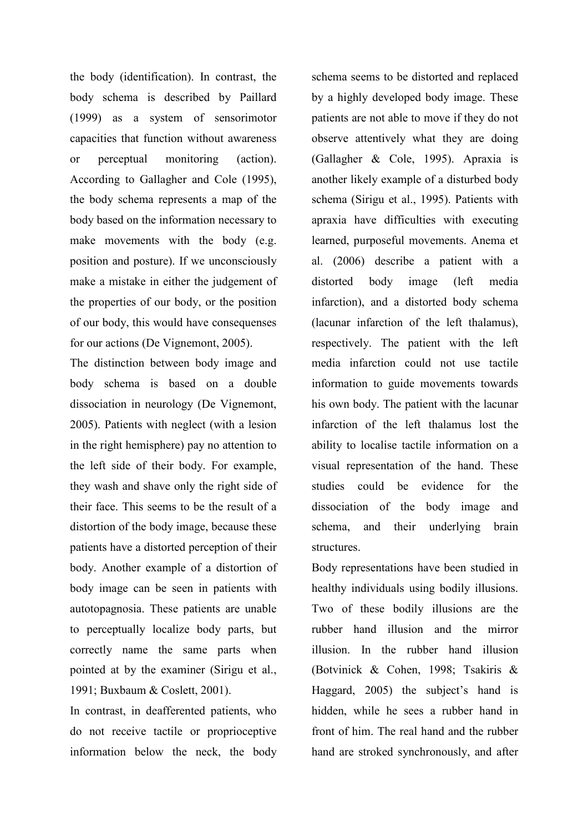the body (identification). In contrast, the body schema is described by Paillard (1999) as a system of sensorimotor capacities that function without awareness or perceptual monitoring (action). According to Gallagher and Cole (1995), the body schema represents a map of the body based on the information necessary to make movements with the body (e.g. position and posture). If we unconsciously make a mistake in either the judgement of the properties of our body, or the position of our body, this would have consequenses for our actions (De Vignemont, 2005).

The distinction between body image and body schema is based on a double dissociation in neurology (De Vignemont, 2005). Patients with neglect (with a lesion in the right hemisphere) pay no attention to the left side of their body. For example, they wash and shave only the right side of their face. This seems to be the result of a distortion of the body image, because these patients have a distorted perception of their body. Another example of a distortion of body image can be seen in patients with autotopagnosia. These patients are unable to perceptually localize body parts, but correctly name the same parts when pointed at by the examiner (Sirigu et al., 1991; Buxbaum & Coslett, 2001).

In contrast, in deafferented patients, who do not receive tactile or proprioceptive information below the neck, the body schema seems to be distorted and replaced by a highly developed body image. These patients are not able to move if they do not observe attentively what they are doing (Gallagher & Cole, 1995). Apraxia is another likely example of a disturbed body schema (Sirigu et al., 1995). Patients with apraxia have difficulties with executing learned, purposeful movements. Anema et al. (2006) describe a patient with a distorted body image (left media infarction), and a distorted body schema (lacunar infarction of the left thalamus), respectively. The patient with the left media infarction could not use tactile information to guide movements towards his own body. The patient with the lacunar infarction of the left thalamus lost the ability to localise tactile information on a visual representation of the hand. These studies could be evidence for the dissociation of the body image and schema, and their underlying brain structures.

Body representations have been studied in healthy individuals using bodily illusions. Two of these bodily illusions are the rubber hand illusion and the mirror illusion. In the rubber hand illusion (Botvinick & Cohen, 1998; Tsakiris & Haggard, 2005) the subject's hand is hidden, while he sees a rubber hand in front of him. The real hand and the rubber hand are stroked synchronously, and after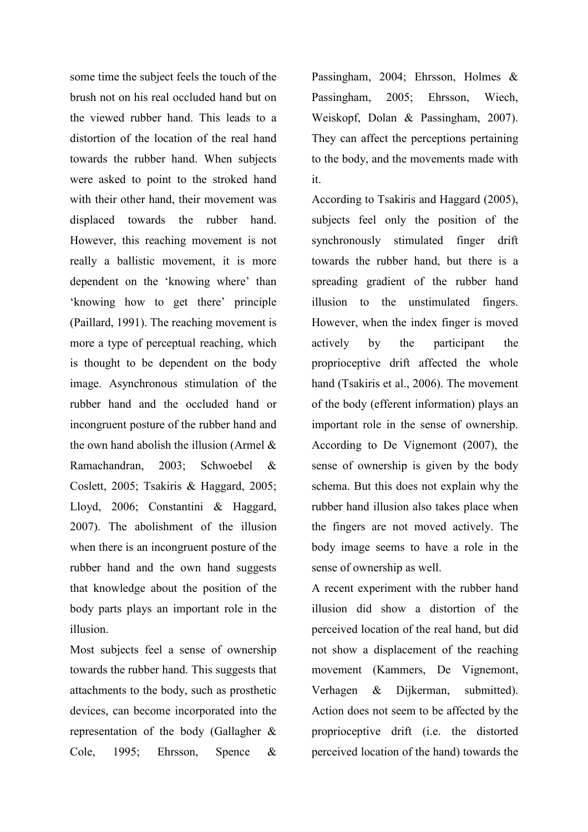some time the subject feels the touch of the brush not on his real occluded hand but on the viewed rubber hand. This leads to a distortion of the location of the real hand towards the rubber hand. When subjects were asked to point to the stroked hand with their other hand, their movement was displaced towards the rubber hand. However, this reaching movement is not really a ballistic movement, it is more dependent on the 'knowing where' than 'knowing how to get there' principle (Paillard, 1991). The reaching movement is more a type of perceptual reaching, which is thought to be dependent on the body image. Asynchronous stimulation of the rubber hand and the occluded hand or incongruent posture of the rubber hand and the own hand abolish the illusion (Armel & Ramachandran, 2003; Schwoebel & Coslett, 2005; Tsakiris & Haggard, 2005; Lloyd, 2006; Constantini & Haggard, 2007). The abolishment of the illusion when there is an incongruent posture of the rubber hand and the own hand suggests that knowledge about the position of the body parts plays an important role in the illusion.

Most subjects feel a sense of ownership towards the rubber hand. This suggests that attachments to the body, such as prosthetic devices, can become incorporated into the representation of the body (Gallagher & Cole, 1995; Ehrsson, Spence &

Passingham, 2004; Ehrsson, Holmes & Passingham, 2005; Ehrsson, Wiech, Weiskopf, Dolan & Passingham, 2007). They can affect the perceptions pertaining to the body, and the movements made with it.

According to Tsakiris and Haggard (2005), subjects feel only the position of the synchronously stimulated finger drift towards the rubber hand, but there is a spreading gradient of the rubber hand illusion to the unstimulated fingers. However, when the index finger is moved actively by the participant the proprioceptive drift affected the whole hand (Tsakiris et al., 2006). The movement of the body (efferent information) plays an important role in the sense of ownership. According to De Vignemont (2007), the sense of ownership is given by the body schema. But this does not explain why the rubber hand illusion also takes place when the fingers are not moved actively. The body image seems to have a role in the sense of ownership as well.

A recent experiment with the rubber hand illusion did show a distortion of the perceived location of the real hand, but did not show a displacement of the reaching movement (Kammers, De Vignemont, Verhagen & Dijkerman, submitted). Action does not seem to be affected by the proprioceptive drift (i.e. the distorted perceived location of the hand) towards the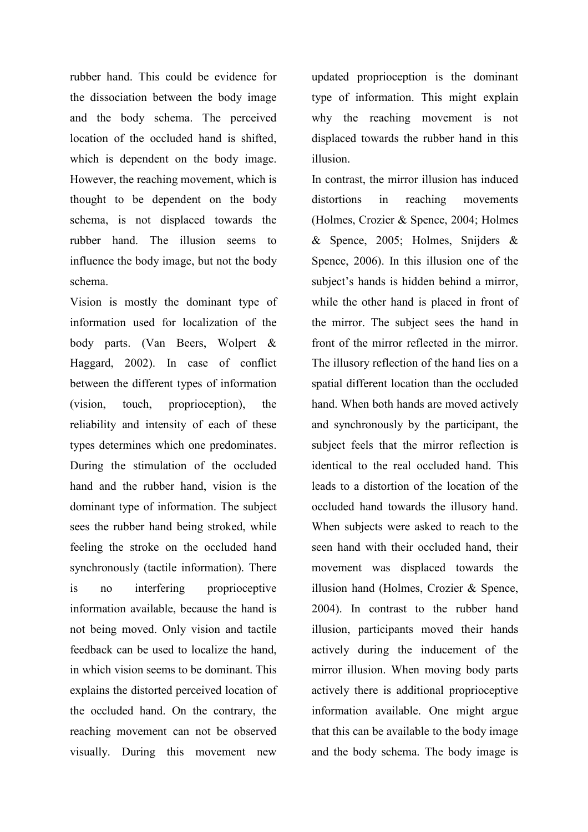rubber hand. This could be evidence for the dissociation between the body image and the body schema. The perceived location of the occluded hand is shifted, which is dependent on the body image. However, the reaching movement, which is thought to be dependent on the body schema, is not displaced towards the rubber hand. The illusion seems to influence the body image, but not the body schema.

Vision is mostly the dominant type of information used for localization of the body parts. (Van Beers, Wolpert & Haggard, 2002). In case of conflict between the different types of information (vision, touch, proprioception), the reliability and intensity of each of these types determines which one predominates. During the stimulation of the occluded hand and the rubber hand, vision is the dominant type of information. The subject sees the rubber hand being stroked, while feeling the stroke on the occluded hand synchronously (tactile information). There is no interfering proprioceptive information available, because the hand is not being moved. Only vision and tactile feedback can be used to localize the hand, in which vision seems to be dominant. This explains the distorted perceived location of the occluded hand. On the contrary, the reaching movement can not be observed visually. During this movement new

updated proprioception is the dominant type of information. This might explain why the reaching movement is not displaced towards the rubber hand in this illusion.

In contrast, the mirror illusion has induced distortions in reaching movements (Holmes, Crozier & Spence, 2004; Holmes & Spence, 2005; Holmes, Snijders & Spence, 2006). In this illusion one of the subject's hands is hidden behind a mirror, while the other hand is placed in front of the mirror. The subject sees the hand in front of the mirror reflected in the mirror. The illusory reflection of the hand lies on a spatial different location than the occluded hand. When both hands are moved actively and synchronously by the participant, the subject feels that the mirror reflection is identical to the real occluded hand. This leads to a distortion of the location of the occluded hand towards the illusory hand. When subjects were asked to reach to the seen hand with their occluded hand, their movement was displaced towards the illusion hand (Holmes, Crozier & Spence, 2004). In contrast to the rubber hand illusion, participants moved their hands actively during the inducement of the mirror illusion. When moving body parts actively there is additional proprioceptive information available. One might argue that this can be available to the body image and the body schema. The body image is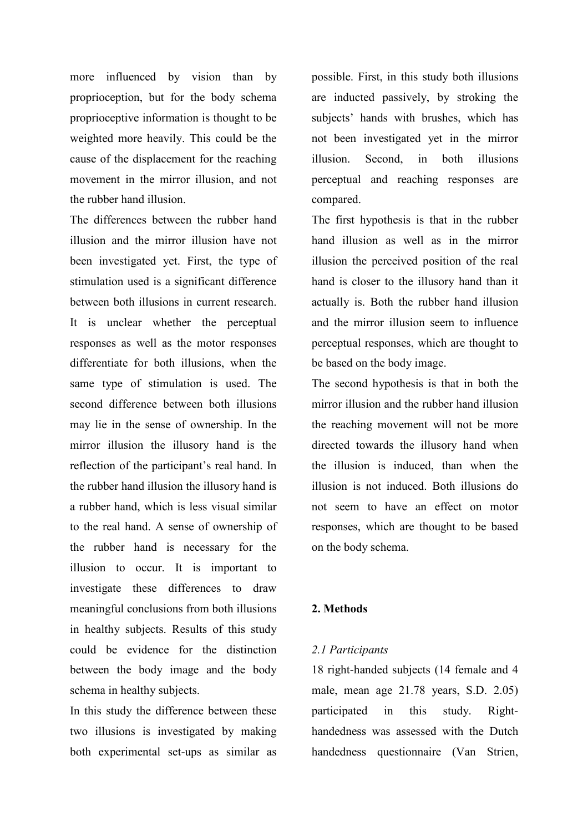more influenced by vision than by proprioception, but for the body schema proprioceptive information is thought to be weighted more heavily. This could be the cause of the displacement for the reaching movement in the mirror illusion, and not the rubber hand illusion.

The differences between the rubber hand illusion and the mirror illusion have not been investigated yet. First, the type of stimulation used is a significant difference between both illusions in current research. It is unclear whether the perceptual responses as well as the motor responses differentiate for both illusions, when the same type of stimulation is used. The second difference between both illusions may lie in the sense of ownership. In the mirror illusion the illusory hand is the reflection of the participant's real hand. In the rubber hand illusion the illusory hand is a rubber hand, which is less visual similar to the real hand. A sense of ownership of the rubber hand is necessary for the illusion to occur. It is important to investigate these differences to draw meaningful conclusions from both illusions in healthy subjects. Results of this study could be evidence for the distinction between the body image and the body schema in healthy subjects.

In this study the difference between these two illusions is investigated by making both experimental set-ups as similar as possible. First, in this study both illusions are inducted passively, by stroking the subjects' hands with brushes, which has not been investigated yet in the mirror illusion. Second, in both illusions perceptual and reaching responses are compared.

The first hypothesis is that in the rubber hand illusion as well as in the mirror illusion the perceived position of the real hand is closer to the illusory hand than it actually is. Both the rubber hand illusion and the mirror illusion seem to influence perceptual responses, which are thought to be based on the body image.

The second hypothesis is that in both the mirror illusion and the rubber hand illusion the reaching movement will not be more directed towards the illusory hand when the illusion is induced, than when the illusion is not induced. Both illusions do not seem to have an effect on motor responses, which are thought to be based on the body schema.

### 2. Methods

#### 2.1 Participants

18 right-handed subjects (14 female and 4 male, mean age 21.78 years, S.D. 2.05) participated in this study. Righthandedness was assessed with the Dutch handedness questionnaire (Van Strien,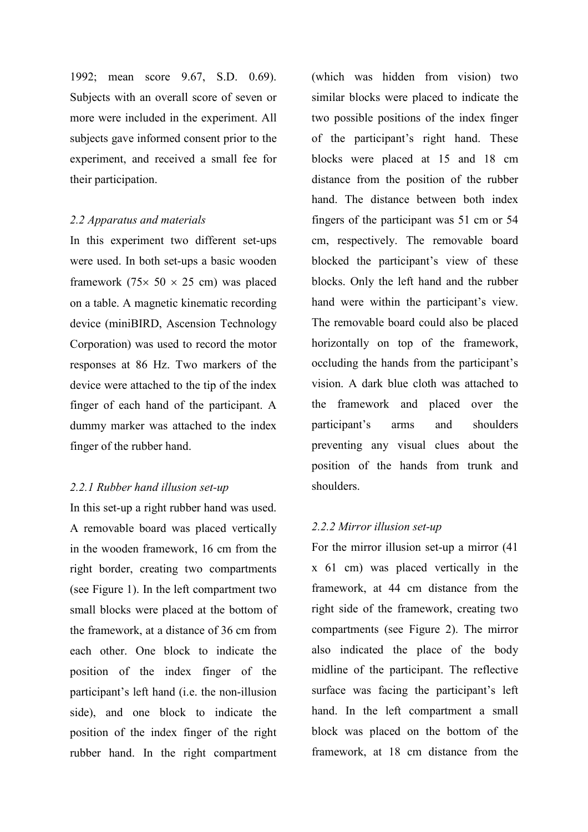1992; mean score 9.67, S.D. 0.69). Subjects with an overall score of seven or more were included in the experiment. All subjects gave informed consent prior to the experiment, and received a small fee for their participation.

### 2.2 Apparatus and materials

In this experiment two different set-ups were used. In both set-ups a basic wooden framework (75 $\times$  50  $\times$  25 cm) was placed on a table. A magnetic kinematic recording device (miniBIRD, Ascension Technology Corporation) was used to record the motor responses at 86 Hz. Two markers of the device were attached to the tip of the index finger of each hand of the participant. A dummy marker was attached to the index finger of the rubber hand.

### 2.2.1 Rubber hand illusion set-up

In this set-up a right rubber hand was used. A removable board was placed vertically in the wooden framework, 16 cm from the right border, creating two compartments (see Figure 1). In the left compartment two small blocks were placed at the bottom of the framework, at a distance of 36 cm from each other. One block to indicate the position of the index finger of the participant's left hand (i.e. the non-illusion side), and one block to indicate the position of the index finger of the right rubber hand. In the right compartment

(which was hidden from vision) two similar blocks were placed to indicate the two possible positions of the index finger of the participant's right hand. These blocks were placed at 15 and 18 cm distance from the position of the rubber hand. The distance between both index fingers of the participant was 51 cm or 54 cm, respectively. The removable board blocked the participant's view of these blocks. Only the left hand and the rubber hand were within the participant's view. The removable board could also be placed horizontally on top of the framework, occluding the hands from the participant's vision. A dark blue cloth was attached to the framework and placed over the participant's arms and shoulders preventing any visual clues about the position of the hands from trunk and shoulders.

### 2.2.2 Mirror illusion set-up

For the mirror illusion set-up a mirror (41 x 61 cm) was placed vertically in the framework, at 44 cm distance from the right side of the framework, creating two compartments (see Figure 2). The mirror also indicated the place of the body midline of the participant. The reflective surface was facing the participant's left hand. In the left compartment a small block was placed on the bottom of the framework, at 18 cm distance from the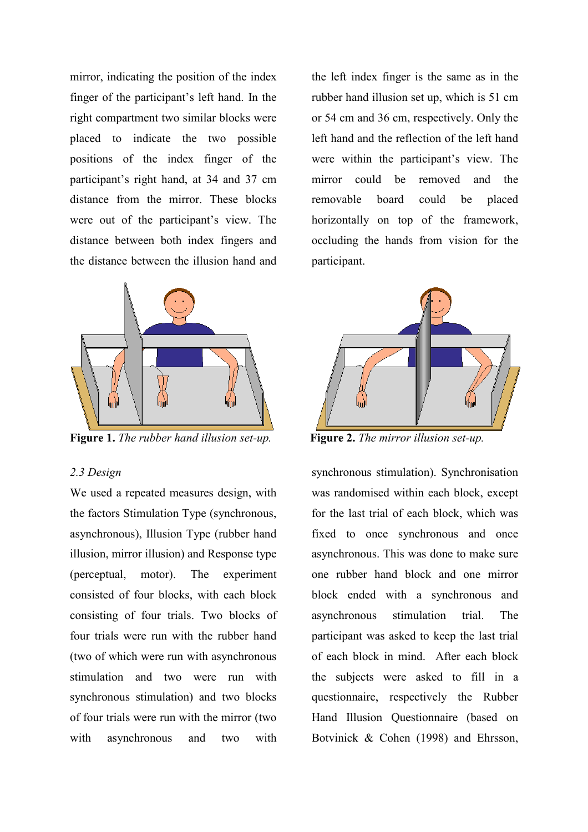mirror, indicating the position of the index finger of the participant's left hand. In the right compartment two similar blocks were placed to indicate the two possible positions of the index finger of the participant's right hand, at 34 and 37 cm distance from the mirror. These blocks were out of the participant's view. The distance between both index fingers and the distance between the illusion hand and



Figure 1. The rubber hand illusion set-up. Figure 2. The mirror illusion set-up.

# 2.3 Design

We used a repeated measures design, with the factors Stimulation Type (synchronous, asynchronous), Illusion Type (rubber hand illusion, mirror illusion) and Response type (perceptual, motor). The experiment consisted of four blocks, with each block consisting of four trials. Two blocks of four trials were run with the rubber hand (two of which were run with asynchronous stimulation and two were run with synchronous stimulation) and two blocks of four trials were run with the mirror (two with asynchronous and two with

the left index finger is the same as in the rubber hand illusion set up, which is 51 cm or 54 cm and 36 cm, respectively. Only the left hand and the reflection of the left hand were within the participant's view. The mirror could be removed and the removable board could be placed horizontally on top of the framework, occluding the hands from vision for the participant.



synchronous stimulation). Synchronisation was randomised within each block, except for the last trial of each block, which was fixed to once synchronous and once asynchronous. This was done to make sure one rubber hand block and one mirror block ended with a synchronous and asynchronous stimulation trial. The participant was asked to keep the last trial of each block in mind. After each block the subjects were asked to fill in a questionnaire, respectively the Rubber Hand Illusion Questionnaire (based on Botvinick & Cohen (1998) and Ehrsson,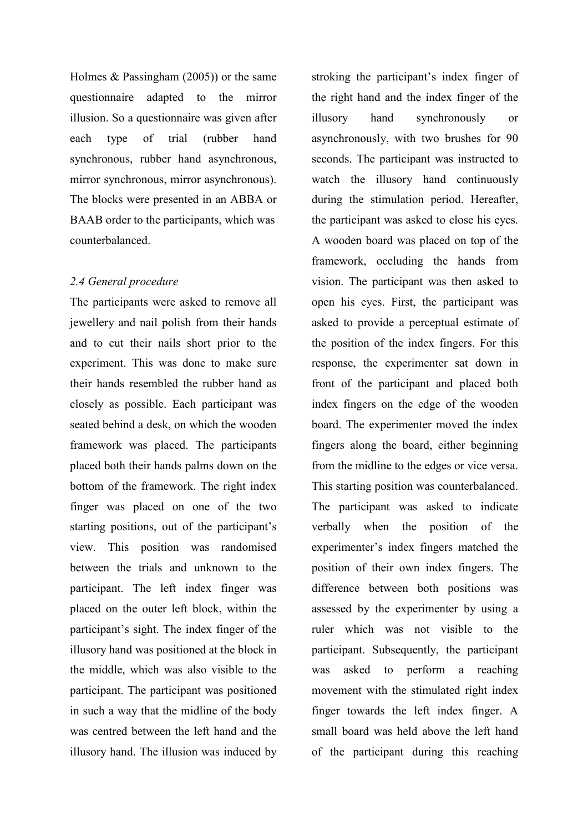Holmes & Passingham (2005)) or the same questionnaire adapted to the mirror illusion. So a questionnaire was given after each type of trial (rubber hand synchronous, rubber hand asynchronous, mirror synchronous, mirror asynchronous). The blocks were presented in an ABBA or BAAB order to the participants, which was counterbalanced.

#### 2.4 General procedure

The participants were asked to remove all jewellery and nail polish from their hands and to cut their nails short prior to the experiment. This was done to make sure their hands resembled the rubber hand as closely as possible. Each participant was seated behind a desk, on which the wooden framework was placed. The participants placed both their hands palms down on the bottom of the framework. The right index finger was placed on one of the two starting positions, out of the participant's view. This position was randomised between the trials and unknown to the participant. The left index finger was placed on the outer left block, within the participant's sight. The index finger of the illusory hand was positioned at the block in the middle, which was also visible to the participant. The participant was positioned in such a way that the midline of the body was centred between the left hand and the illusory hand. The illusion was induced by

stroking the participant's index finger of the right hand and the index finger of the illusory hand synchronously or asynchronously, with two brushes for 90 seconds. The participant was instructed to watch the illusory hand continuously during the stimulation period. Hereafter, the participant was asked to close his eyes. A wooden board was placed on top of the framework, occluding the hands from vision. The participant was then asked to open his eyes. First, the participant was asked to provide a perceptual estimate of the position of the index fingers. For this response, the experimenter sat down in front of the participant and placed both index fingers on the edge of the wooden board. The experimenter moved the index fingers along the board, either beginning from the midline to the edges or vice versa. This starting position was counterbalanced. The participant was asked to indicate verbally when the position of the experimenter's index fingers matched the position of their own index fingers. The difference between both positions was assessed by the experimenter by using a ruler which was not visible to the participant. Subsequently, the participant was asked to perform a reaching movement with the stimulated right index finger towards the left index finger. A small board was held above the left hand of the participant during this reaching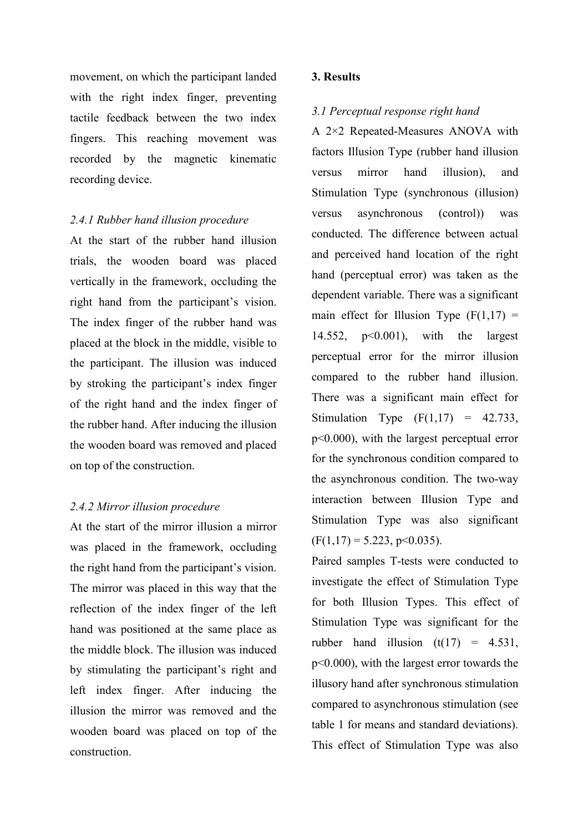movement, on which the participant landed with the right index finger, preventing tactile feedback between the two index fingers. This reaching movement was recorded by the magnetic kinematic recording device.

# 2.4.1 Rubber hand illusion procedure

At the start of the rubber hand illusion trials, the wooden board was placed vertically in the framework, occluding the right hand from the participant's vision. The index finger of the rubber hand was placed at the block in the middle, visible to the participant. The illusion was induced by stroking the participant's index finger of the right hand and the index finger of the rubber hand. After inducing the illusion the wooden board was removed and placed on top of the construction.

# 2.4.2 Mirror illusion procedure

At the start of the mirror illusion a mirror was placed in the framework, occluding the right hand from the participant's vision. The mirror was placed in this way that the reflection of the index finger of the left hand was positioned at the same place as the middle block. The illusion was induced by stimulating the participant's right and left index finger. After inducing the illusion the mirror was removed and the wooden board was placed on top of the construction.

# 3. Results

# 3.1 Perceptual response right hand

A 2×2 Repeated-Measures ANOVA with factors Illusion Type (rubber hand illusion versus mirror hand illusion), and Stimulation Type (synchronous (illusion) versus asynchronous (control)) was conducted. The difference between actual and perceived hand location of the right hand (perceptual error) was taken as the dependent variable. There was a significant main effect for Illusion Type  $(F(1,17)) =$ 14.552, p<0.001), with the largest perceptual error for the mirror illusion compared to the rubber hand illusion. There was a significant main effect for Stimulation Type  $(F(1,17) = 42.733)$ , p<0.000), with the largest perceptual error for the synchronous condition compared to the asynchronous condition. The two-way interaction between Illusion Type and Stimulation Type was also significant  $(F(1,17) = 5.223, p<0.035)$ .

Paired samples T-tests were conducted to investigate the effect of Stimulation Type for both Illusion Types. This effect of Stimulation Type was significant for the rubber hand illusion  $(t(17) = 4.531)$ , p<0.000), with the largest error towards the illusory hand after synchronous stimulation compared to asynchronous stimulation (see table 1 for means and standard deviations). This effect of Stimulation Type was also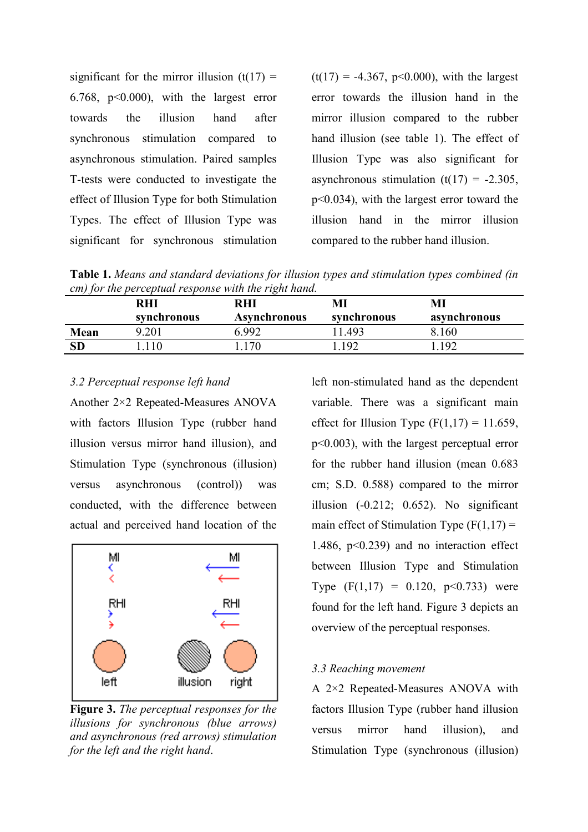significant for the mirror illusion  $(t(17) =$ 6.768,  $p<0.000$ , with the largest error towards the illusion hand after synchronous stimulation compared to asynchronous stimulation. Paired samples T-tests were conducted to investigate the effect of Illusion Type for both Stimulation Types. The effect of Illusion Type was significant for synchronous stimulation

 $(t(17) = -4.367, p<0.000)$ , with the largest error towards the illusion hand in the mirror illusion compared to the rubber hand illusion (see table 1). The effect of Illusion Type was also significant for asynchronous stimulation  $(t(17) = -2.305)$ , p<0.034), with the largest error toward the illusion hand in the mirror illusion compared to the rubber hand illusion.

Table 1. Means and standard deviations for illusion types and stimulation types combined (in cm) for the perceptual response with the right hand.

|           | <b>RHI</b><br>synchronous | RHI<br><b>Asynchronous</b> | MI<br>synchronous | MI<br>asynchronous |
|-----------|---------------------------|----------------------------|-------------------|--------------------|
| Mean      | 9.201                     | ና 992                      | 11 493            | 8 160              |
| <b>SD</b> | 10                        | 70                         | 107               | ഹ                  |
|           |                           |                            |                   |                    |

#### 3.2 Perceptual response left hand

Another 2×2 Repeated-Measures ANOVA with factors Illusion Type (rubber hand illusion versus mirror hand illusion), and Stimulation Type (synchronous (illusion) versus asynchronous (control)) was conducted, with the difference between actual and perceived hand location of the



Figure 3. The perceptual responses for the illusions for synchronous (blue arrows) and asynchronous (red arrows) stimulation for the left and the right hand.

left non-stimulated hand as the dependent variable. There was a significant main effect for Illusion Type  $(F(1,17) = 11.659)$ , p<0.003), with the largest perceptual error for the rubber hand illusion (mean 0.683 cm; S.D. 0.588) compared to the mirror illusion (-0.212; 0.652). No significant main effect of Stimulation Type  $(F(1,17)) =$ 1.486, p<0.239) and no interaction effect between Illusion Type and Stimulation Type  $(F(1,17) = 0.120, p \le 0.733)$  were found for the left hand. Figure 3 depicts an overview of the perceptual responses.

#### 3.3 Reaching movement

A 2×2 Repeated-Measures ANOVA with factors Illusion Type (rubber hand illusion versus mirror hand illusion), and Stimulation Type (synchronous (illusion)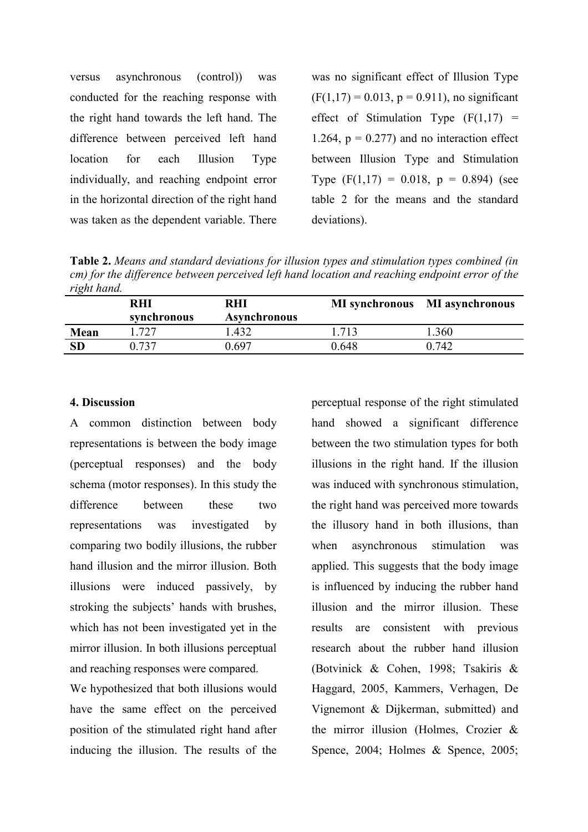versus asynchronous (control)) was conducted for the reaching response with the right hand towards the left hand. The difference between perceived left hand location for each Illusion Type individually, and reaching endpoint error in the horizontal direction of the right hand was taken as the dependent variable. There was no significant effect of Illusion Type  $(F(1,17) = 0.013, p = 0.911)$ , no significant effect of Stimulation Type  $(F(1,17))$  = 1.264,  $p = 0.277$ ) and no interaction effect between Illusion Type and Stimulation Type  $(F(1,17) = 0.018, p = 0.894)$  (see table 2 for the means and the standard deviations).

Table 2. Means and standard deviations for illusion types and stimulation types combined (in cm) for the difference between perceived left hand location and reaching endpoint error of the right hand.

| $\tilde{}$ | <b>RHI</b><br>synchronous | <b>RHI</b><br><b>Asynchronous</b> |       | <b>MI</b> synchronous <b>MI</b> asynchronous |
|------------|---------------------------|-----------------------------------|-------|----------------------------------------------|
| Mean       | 727                       | 1.432                             | 1713  | .360                                         |
| <b>SD</b>  | በ 737                     | በ 697                             | 0.648 | 0.742                                        |
|            |                           |                                   |       |                                              |

#### 4. Discussion

A common distinction between body representations is between the body image (perceptual responses) and the body schema (motor responses). In this study the difference between these two representations was investigated by comparing two bodily illusions, the rubber hand illusion and the mirror illusion. Both illusions were induced passively, by stroking the subjects' hands with brushes, which has not been investigated yet in the mirror illusion. In both illusions perceptual and reaching responses were compared.

We hypothesized that both illusions would have the same effect on the perceived position of the stimulated right hand after inducing the illusion. The results of the

perceptual response of the right stimulated hand showed a significant difference between the two stimulation types for both illusions in the right hand. If the illusion was induced with synchronous stimulation, the right hand was perceived more towards the illusory hand in both illusions, than when asynchronous stimulation was applied. This suggests that the body image is influenced by inducing the rubber hand illusion and the mirror illusion. These results are consistent with previous research about the rubber hand illusion (Botvinick & Cohen, 1998; Tsakiris & Haggard, 2005, Kammers, Verhagen, De Vignemont & Dijkerman, submitted) and the mirror illusion (Holmes, Crozier & Spence, 2004; Holmes & Spence, 2005;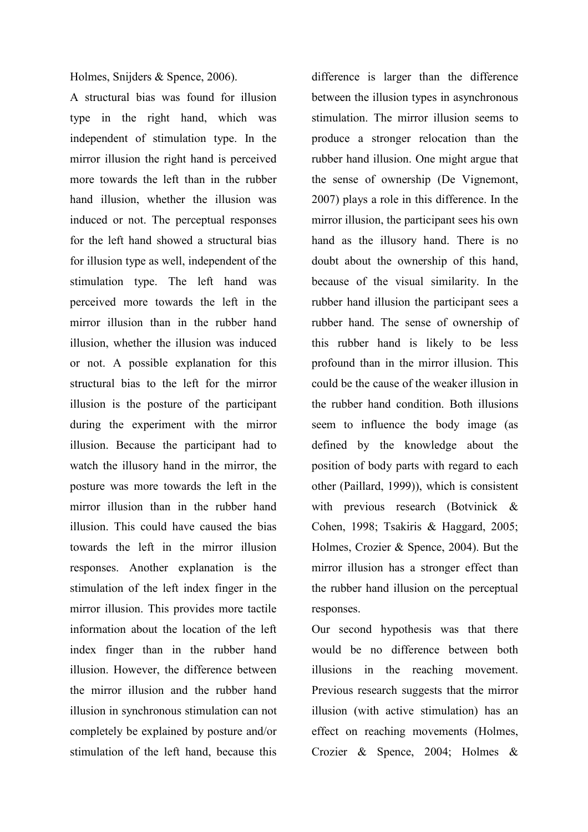Holmes, Snijders & Spence, 2006).

A structural bias was found for illusion type in the right hand, which was independent of stimulation type. In the mirror illusion the right hand is perceived more towards the left than in the rubber hand illusion, whether the illusion was induced or not. The perceptual responses for the left hand showed a structural bias for illusion type as well, independent of the stimulation type. The left hand was perceived more towards the left in the mirror illusion than in the rubber hand illusion, whether the illusion was induced or not. A possible explanation for this structural bias to the left for the mirror illusion is the posture of the participant during the experiment with the mirror illusion. Because the participant had to watch the illusory hand in the mirror, the posture was more towards the left in the mirror illusion than in the rubber hand illusion. This could have caused the bias towards the left in the mirror illusion responses. Another explanation is the stimulation of the left index finger in the mirror illusion. This provides more tactile information about the location of the left index finger than in the rubber hand illusion. However, the difference between the mirror illusion and the rubber hand illusion in synchronous stimulation can not completely be explained by posture and/or stimulation of the left hand, because this

difference is larger than the difference between the illusion types in asynchronous stimulation. The mirror illusion seems to produce a stronger relocation than the rubber hand illusion. One might argue that the sense of ownership (De Vignemont, 2007) plays a role in this difference. In the mirror illusion, the participant sees his own hand as the illusory hand. There is no doubt about the ownership of this hand, because of the visual similarity. In the rubber hand illusion the participant sees a rubber hand. The sense of ownership of this rubber hand is likely to be less profound than in the mirror illusion. This could be the cause of the weaker illusion in the rubber hand condition. Both illusions seem to influence the body image (as defined by the knowledge about the position of body parts with regard to each other (Paillard, 1999)), which is consistent with previous research (Botvinick & Cohen, 1998; Tsakiris & Haggard, 2005; Holmes, Crozier & Spence, 2004). But the mirror illusion has a stronger effect than the rubber hand illusion on the perceptual responses.

Our second hypothesis was that there would be no difference between both illusions in the reaching movement. Previous research suggests that the mirror illusion (with active stimulation) has an effect on reaching movements (Holmes, Crozier & Spence, 2004; Holmes &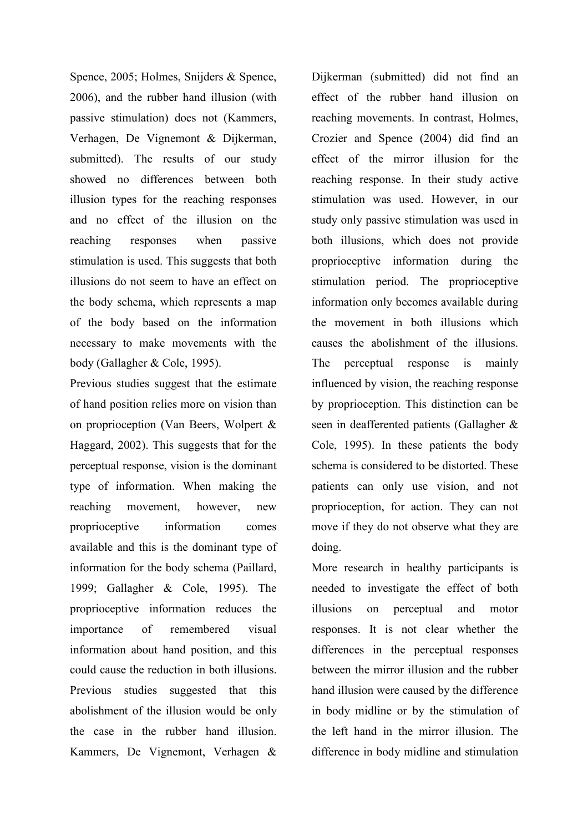Spence, 2005; Holmes, Snijders & Spence, 2006), and the rubber hand illusion (with passive stimulation) does not (Kammers, Verhagen, De Vignemont & Dijkerman, submitted). The results of our study showed no differences between both illusion types for the reaching responses and no effect of the illusion on the reaching responses when passive stimulation is used. This suggests that both illusions do not seem to have an effect on the body schema, which represents a map of the body based on the information necessary to make movements with the body (Gallagher & Cole, 1995).

Previous studies suggest that the estimate of hand position relies more on vision than on proprioception (Van Beers, Wolpert & Haggard, 2002). This suggests that for the perceptual response, vision is the dominant type of information. When making the reaching movement, however, new proprioceptive information comes available and this is the dominant type of information for the body schema (Paillard, 1999; Gallagher & Cole, 1995). The proprioceptive information reduces the importance of remembered visual information about hand position, and this could cause the reduction in both illusions. Previous studies suggested that this abolishment of the illusion would be only the case in the rubber hand illusion. Kammers, De Vignemont, Verhagen &

Dijkerman (submitted) did not find an effect of the rubber hand illusion on reaching movements. In contrast, Holmes, Crozier and Spence (2004) did find an effect of the mirror illusion for the reaching response. In their study active stimulation was used. However, in our study only passive stimulation was used in both illusions, which does not provide proprioceptive information during the stimulation period. The proprioceptive information only becomes available during the movement in both illusions which causes the abolishment of the illusions. The perceptual response is mainly influenced by vision, the reaching response by proprioception. This distinction can be seen in deafferented patients (Gallagher & Cole, 1995). In these patients the body schema is considered to be distorted. These patients can only use vision, and not proprioception, for action. They can not move if they do not observe what they are doing.

More research in healthy participants is needed to investigate the effect of both illusions on perceptual and motor responses. It is not clear whether the differences in the perceptual responses between the mirror illusion and the rubber hand illusion were caused by the difference in body midline or by the stimulation of the left hand in the mirror illusion. The difference in body midline and stimulation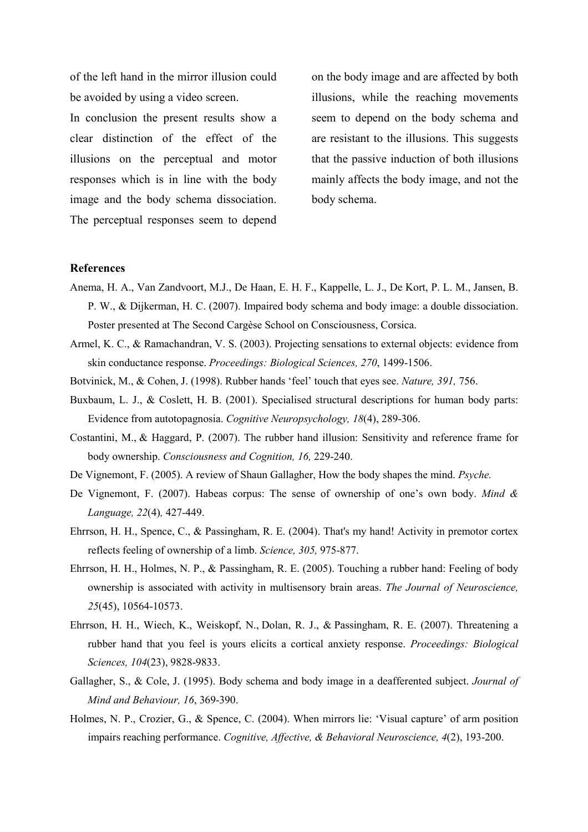of the left hand in the mirror illusion could be avoided by using a video screen.

In conclusion the present results show a clear distinction of the effect of the illusions on the perceptual and motor responses which is in line with the body image and the body schema dissociation. The perceptual responses seem to depend

on the body image and are affected by both illusions, while the reaching movements seem to depend on the body schema and are resistant to the illusions. This suggests that the passive induction of both illusions mainly affects the body image, and not the body schema.

#### References

- Anema, H. A., Van Zandvoort, M.J., De Haan, E. H. F., Kappelle, L. J., De Kort, P. L. M., Jansen, B. P. W., & Dijkerman, H. C. (2007). Impaired body schema and body image: a double dissociation. Poster presented at The Second Cargèse School on Consciousness, Corsica.
- Armel, K. C., & Ramachandran, V. S. (2003). Projecting sensations to external objects: evidence from skin conductance response. Proceedings: Biological Sciences, 270, 1499-1506.
- Botvinick, M., & Cohen, J. (1998). Rubber hands 'feel' touch that eyes see. Nature, 391, 756.
- Buxbaum, L. J., & Coslett, H. B. (2001). Specialised structural descriptions for human body parts: Evidence from autotopagnosia. Cognitive Neuropsychology, 18(4), 289-306.
- Costantini, M., & Haggard, P. (2007). The rubber hand illusion: Sensitivity and reference frame for body ownership. Consciousness and Cognition, 16, 229-240.
- De Vignemont, F. (2005). A review of Shaun Gallagher, How the body shapes the mind. Psyche.
- De Vignemont, F. (2007). Habeas corpus: The sense of ownership of one's own body. Mind & Language, 22(4), 427-449.
- Ehrrson, H. H., Spence, C., & Passingham, R. E. (2004). That's my hand! Activity in premotor cortex reflects feeling of ownership of a limb. Science, 305, 975-877.
- Ehrrson, H. H., Holmes, N. P., & Passingham, R. E. (2005). Touching a rubber hand: Feeling of body ownership is associated with activity in multisensory brain areas. The Journal of Neuroscience, 25(45), 10564-10573.
- Ehrrson, H. H., Wiech, K., Weiskopf, N., Dolan, R. J., & Passingham, R. E. (2007). Threatening a rubber hand that you feel is yours elicits a cortical anxiety response. Proceedings: Biological Sciences, 104(23), 9828-9833.
- Gallagher, S., & Cole, J. (1995). Body schema and body image in a deafferented subject. Journal of Mind and Behaviour, 16, 369-390.
- Holmes, N. P., Crozier, G., & Spence, C. (2004). When mirrors lie: 'Visual capture' of arm position impairs reaching performance. Cognitive, Affective, & Behavioral Neuroscience, 4(2), 193-200.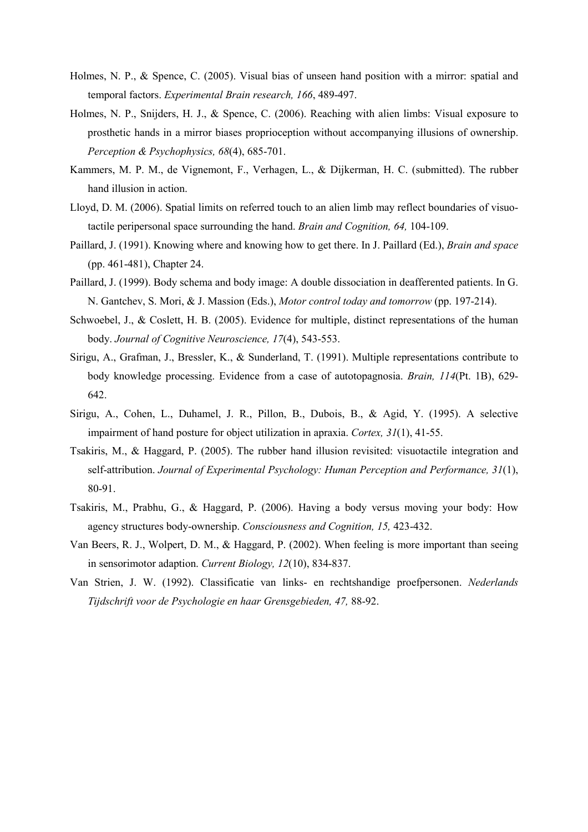- Holmes, N. P., & Spence, C. (2005). Visual bias of unseen hand position with a mirror: spatial and temporal factors. Experimental Brain research, 166, 489-497.
- Holmes, N. P., Snijders, H. J., & Spence, C. (2006). Reaching with alien limbs: Visual exposure to prosthetic hands in a mirror biases proprioception without accompanying illusions of ownership. Perception & Psychophysics, 68(4), 685-701.
- Kammers, M. P. M., de Vignemont, F., Verhagen, L., & Dijkerman, H. C. (submitted). The rubber hand illusion in action.
- Lloyd, D. M. (2006). Spatial limits on referred touch to an alien limb may reflect boundaries of visuotactile peripersonal space surrounding the hand. Brain and Cognition, 64, 104-109.
- Paillard, J. (1991). Knowing where and knowing how to get there. In J. Paillard (Ed.), Brain and space (pp. 461-481), Chapter 24.
- Paillard, J. (1999). Body schema and body image: A double dissociation in deafferented patients. In G. N. Gantchev, S. Mori, & J. Massion (Eds.), Motor control today and tomorrow (pp. 197-214).
- Schwoebel, J., & Coslett, H. B. (2005). Evidence for multiple, distinct representations of the human body. Journal of Cognitive Neuroscience, 17(4), 543-553.
- Sirigu, A., Grafman, J., Bressler, K., & Sunderland, T. (1991). Multiple representations contribute to body knowledge processing. Evidence from a case of autotopagnosia. Brain, 114(Pt. 1B), 629- 642.
- Sirigu, A., Cohen, L., Duhamel, J. R., Pillon, B., Dubois, B., & Agid, Y. (1995). A selective impairment of hand posture for object utilization in apraxia. Cortex, 31(1), 41-55.
- Tsakiris, M., & Haggard, P. (2005). The rubber hand illusion revisited: visuotactile integration and self-attribution. Journal of Experimental Psychology: Human Perception and Performance, 31(1), 80-91.
- Tsakiris, M., Prabhu, G., & Haggard, P. (2006). Having a body versus moving your body: How agency structures body-ownership. Consciousness and Cognition, 15, 423-432.
- Van Beers, R. J., Wolpert, D. M., & Haggard, P. (2002). When feeling is more important than seeing in sensorimotor adaption. Current Biology, 12(10), 834-837.
- Van Strien, J. W. (1992). Classificatie van links- en rechtshandige proefpersonen. Nederlands Tijdschrift voor de Psychologie en haar Grensgebieden, 47, 88-92.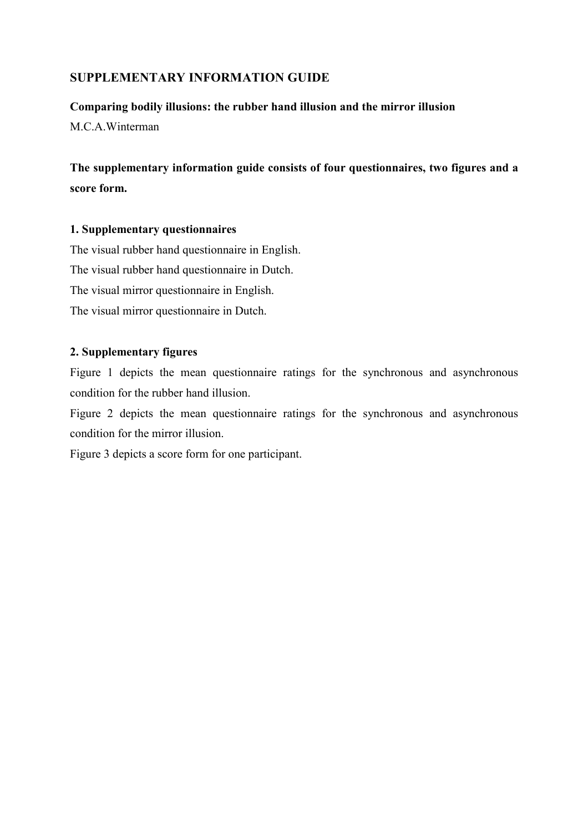# SUPPLEMENTARY INFORMATION GUIDE

# Comparing bodily illusions: the rubber hand illusion and the mirror illusion

M.C.A.Winterman

The supplementary information guide consists of four questionnaires, two figures and a score form.

# 1. Supplementary questionnaires

The visual rubber hand questionnaire in English. The visual rubber hand questionnaire in Dutch. The visual mirror questionnaire in English. The visual mirror questionnaire in Dutch.

# 2. Supplementary figures

Figure 1 depicts the mean questionnaire ratings for the synchronous and asynchronous condition for the rubber hand illusion.

Figure 2 depicts the mean questionnaire ratings for the synchronous and asynchronous condition for the mirror illusion.

Figure 3 depicts a score form for one participant.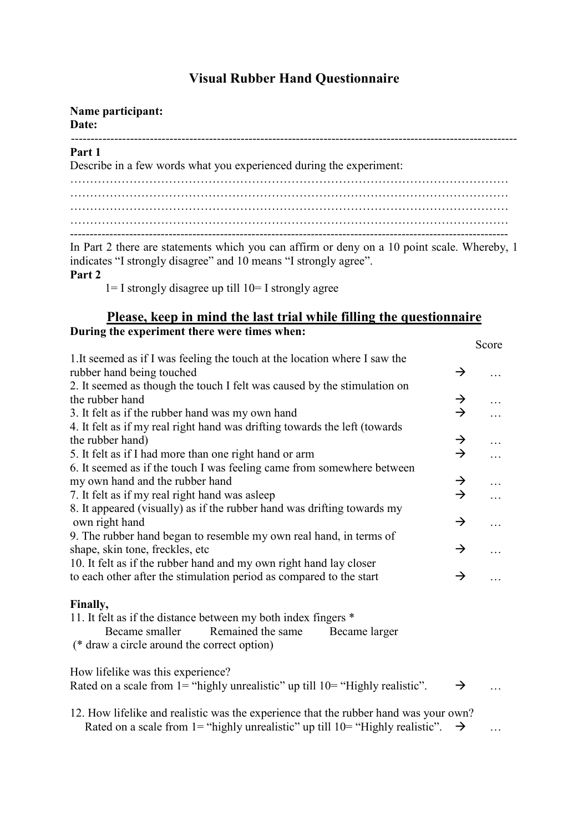# Visual Rubber Hand Questionnaire

| Name participant:<br>Date:                                                                                                            |
|---------------------------------------------------------------------------------------------------------------------------------------|
| Part 1<br>Describe in a few words what you experienced during the experiment:                                                         |
| In Part 2 there are statements which you can affirm or deny on a 10 point scale. Whereby, 1                                           |
| indicates "I strongly disagree" and 10 means "I strongly agree".<br>Part 2<br>$1=$ I strongly disagree up till $10=$ I strongly agree |
| Please keen in mind the last trial while filling the questionnaire                                                                    |

# Please, keep in mind the last trial while filling the questionnaire During the experiment there were times when:

|                                                                                      |               | Score    |
|--------------------------------------------------------------------------------------|---------------|----------|
| 1. It seemed as if I was feeling the touch at the location where I saw the           |               |          |
| rubber hand being touched                                                            | $\rightarrow$ | $\cdots$ |
| 2. It seemed as though the touch I felt was caused by the stimulation on             |               |          |
| the rubber hand                                                                      | $\rightarrow$ |          |
| 3. It felt as if the rubber hand was my own hand                                     | $\rightarrow$ | $\cdots$ |
| 4. It felt as if my real right hand was drifting towards the left (towards           |               |          |
| the rubber hand)                                                                     | $\rightarrow$ | $\ddots$ |
| 5. It felt as if I had more than one right hand or arm                               | $\rightarrow$ | $\cdots$ |
| 6. It seemed as if the touch I was feeling came from somewhere between               |               |          |
| my own hand and the rubber hand                                                      | $\rightarrow$ | $\ddots$ |
| 7. It felt as if my real right hand was asleep                                       | $\rightarrow$ | $\cdots$ |
| 8. It appeared (visually) as if the rubber hand was drifting towards my              |               |          |
| own right hand                                                                       | $\rightarrow$ | $\cdots$ |
| 9. The rubber hand began to resemble my own real hand, in terms of                   |               |          |
| shape, skin tone, freckles, etc.                                                     | $\rightarrow$ | $\ldots$ |
| 10. It felt as if the rubber hand and my own right hand lay closer                   |               |          |
| to each other after the stimulation period as compared to the start                  | $\rightarrow$ |          |
|                                                                                      |               |          |
| Finally,                                                                             |               |          |
| 11. It felt as if the distance between my both index fingers *                       |               |          |
| Remained the same<br>Became smaller<br>Became larger                                 |               |          |
| (* draw a circle around the correct option)                                          |               |          |
|                                                                                      |               |          |
| How lifelike was this experience?                                                    |               |          |
| Rated on a scale from $1 =$ "highly unrealistic" up till $10 =$ "Highly realistic".  | $\rightarrow$ |          |
|                                                                                      |               |          |
| 12. How lifelike and realistic was the experience that the rubber hand was your own? |               |          |
| Rated on a scale from 1= "highly unrealistic" up till 10= "Highly realistic".        | $\rightarrow$ |          |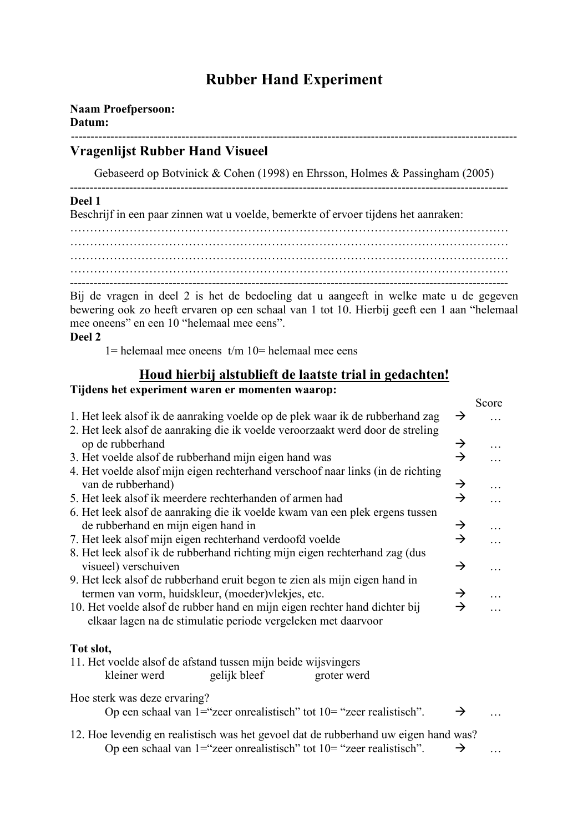# Rubber Hand Experiment

| <b>Naam Proefpersoon:</b> |
|---------------------------|
| Datum:                    |

## ----------------------------------------------------------------------------------------------------------------- Vragenlijst Rubber Hand Visueel

Gebaseerd op Botvinick & Cohen (1998) en Ehrsson, Holmes & Passingham (2005)

---------------------------------------------------------------------------------------------------------------

## Deel 1

Beschrijf in een paar zinnen wat u voelde, bemerkte of ervoer tijdens het aanraken:

………………………………………………………………………………………………… ………………………………………………………………………………………………… …………………………………………………………………………………………………  $-$ 

Bij de vragen in deel 2 is het de bedoeling dat u aangeeft in welke mate u de gegeven bewering ook zo heeft ervaren op een schaal van 1 tot 10. Hierbij geeft een 1 aan "helemaal mee oneens" en een 10 "helemaal mee eens".

## Deel 2

1= helemaal mee oneens  $t/m$  10= helemaal mee eens

# Houd hierbij alstublieft de laatste trial in gedachten!

### Tijdens het experiment waren er momenten waarop:

|                                                                                                                                                                 |                                | Score    |  |  |  |  |  |  |  |  |  |
|-----------------------------------------------------------------------------------------------------------------------------------------------------------------|--------------------------------|----------|--|--|--|--|--|--|--|--|--|
| 1. Het leek alsof ik de aanraking voelde op de plek waar ik de rubberhand zag<br>2. Het leek alsof de aanraking die ik voelde veroorzaakt werd door de streling | →                              |          |  |  |  |  |  |  |  |  |  |
| op de rubberhand                                                                                                                                                |                                |          |  |  |  |  |  |  |  |  |  |
|                                                                                                                                                                 | $\rightarrow$<br>$\rightarrow$ | $\cdots$ |  |  |  |  |  |  |  |  |  |
| 3. Het voelde alsof de rubberhand mijn eigen hand was                                                                                                           |                                | .        |  |  |  |  |  |  |  |  |  |
| 4. Het voelde alsof mijn eigen rechterhand verschoof naar links (in de richting<br>van de rubberhand)                                                           | $\rightarrow$                  | $\ldots$ |  |  |  |  |  |  |  |  |  |
| 5. Het leek alsof ik meerdere rechterhanden of armen had                                                                                                        |                                |          |  |  |  |  |  |  |  |  |  |
| 6. Het leek alsof de aanraking die ik voelde kwam van een plek ergens tussen                                                                                    |                                |          |  |  |  |  |  |  |  |  |  |
| de rubberhand en mijn eigen hand in                                                                                                                             |                                |          |  |  |  |  |  |  |  |  |  |
| 7. Het leek alsof mijn eigen rechterhand verdoofd voelde                                                                                                        |                                |          |  |  |  |  |  |  |  |  |  |
| 8. Het leek alsof ik de rubberhand richting mijn eigen rechterhand zag (dus                                                                                     |                                |          |  |  |  |  |  |  |  |  |  |
|                                                                                                                                                                 |                                |          |  |  |  |  |  |  |  |  |  |
| visueel) verschuiven                                                                                                                                            |                                |          |  |  |  |  |  |  |  |  |  |
| 9. Het leek alsof de rubberhand eruit begon te zien als mijn eigen hand in                                                                                      |                                |          |  |  |  |  |  |  |  |  |  |
| termen van vorm, huidskleur, (moeder) vlekjes, etc.                                                                                                             | $\rightarrow$<br>$\rightarrow$ | $\cdots$ |  |  |  |  |  |  |  |  |  |
| 10. Het voelde alsof de rubber hand en mijn eigen rechter hand dichter bij                                                                                      |                                | $\cdots$ |  |  |  |  |  |  |  |  |  |
| elkaar lagen na de stimulatie periode vergeleken met daarvoor                                                                                                   |                                |          |  |  |  |  |  |  |  |  |  |
|                                                                                                                                                                 |                                |          |  |  |  |  |  |  |  |  |  |
| Tot slot,                                                                                                                                                       |                                |          |  |  |  |  |  |  |  |  |  |
| 11. Het voelde alsof de afstand tussen mijn beide wijsvingers                                                                                                   |                                |          |  |  |  |  |  |  |  |  |  |
| gelijk bleef<br>kleiner werd<br>groter werd                                                                                                                     |                                |          |  |  |  |  |  |  |  |  |  |
| Hoe sterk was deze ervaring?                                                                                                                                    |                                |          |  |  |  |  |  |  |  |  |  |
| Op een schaal van 1="zeer onrealistisch" tot 10= "zeer realistisch".                                                                                            | →                              |          |  |  |  |  |  |  |  |  |  |
| 12. Hoe levendig en realistisch was het gevoel dat de rubberhand uw eigen hand was?                                                                             |                                |          |  |  |  |  |  |  |  |  |  |
| Op een schaal van $1 =$ "zeer onrealistisch" tot $10 =$ "zeer realistisch".                                                                                     | →                              |          |  |  |  |  |  |  |  |  |  |
|                                                                                                                                                                 |                                |          |  |  |  |  |  |  |  |  |  |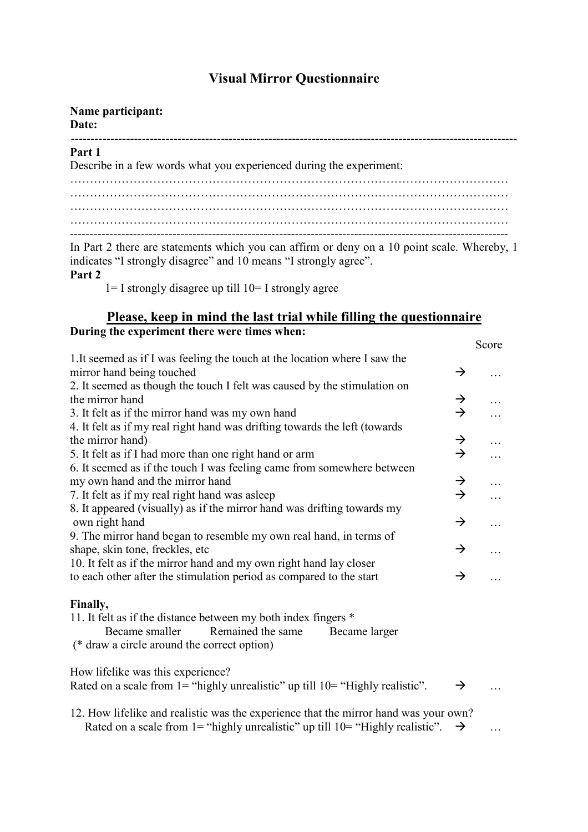# Visual Mirror Questionnaire

-----------------------------------------------------------------------------------------------------------------

|       | Name participant: |
|-------|-------------------|
| Date: |                   |

# Part 1

Describe in a few words what you experienced during the experiment:

In Part 2 there are statements which you can affirm or deny on a 10 point scale. Whereby, 1 indicates "I strongly disagree" and 10 means "I strongly agree".

# Part 2

 $1=$  I strongly disagree up till  $10=$  I strongly agree

# Please, keep in mind the last trial while filling the questionnaire During the experiment there were times when:

|                                                                                           |                                | Score    |
|-------------------------------------------------------------------------------------------|--------------------------------|----------|
| 1. It seemed as if I was feeling the touch at the location where I saw the                |                                |          |
| mirror hand being touched                                                                 | $\rightarrow$                  | $\cdots$ |
| 2. It seemed as though the touch I felt was caused by the stimulation on                  |                                |          |
| the mirror hand                                                                           | $\rightarrow$                  |          |
| 3. It felt as if the mirror hand was my own hand                                          | $\rightarrow$                  | $\cdots$ |
| 4. It felt as if my real right hand was drifting towards the left (towards                |                                |          |
| the mirror hand)                                                                          | $\rightarrow$                  | $\ddots$ |
| 5. It felt as if I had more than one right hand or arm                                    | $\rightarrow$                  | $\cdots$ |
| 6. It seemed as if the touch I was feeling came from somewhere between                    |                                |          |
| my own hand and the mirror hand                                                           | $\rightarrow$<br>$\rightarrow$ | $\cdots$ |
| 7. It felt as if my real right hand was asleep                                            |                                | $\ldots$ |
| 8. It appeared (visually) as if the mirror hand was drifting towards my<br>own right hand | $\rightarrow$                  |          |
| 9. The mirror hand began to resemble my own real hand, in terms of                        |                                | .        |
| shape, skin tone, freckles, etc                                                           | $\rightarrow$                  |          |
| 10. It felt as if the mirror hand and my own right hand lay closer                        |                                |          |
| to each other after the stimulation period as compared to the start                       | $\rightarrow$                  | $\cdots$ |
|                                                                                           |                                |          |
| Finally,                                                                                  |                                |          |
| 11. It felt as if the distance between my both index fingers *                            |                                |          |
| Remained the same<br>Became smaller<br>Became larger                                      |                                |          |
| (* draw a circle around the correct option)                                               |                                |          |
|                                                                                           |                                |          |
| How lifelike was this experience?                                                         |                                |          |
| Rated on a scale from 1= "highly unrealistic" up till 10= "Highly realistic".             | $\rightarrow$                  |          |
|                                                                                           |                                |          |
| 12. How lifelike and realistic was the experience that the mirror hand was your own?      |                                |          |
| Rated on a scale from $1 =$ "highly unrealistic" up till $10 =$ "Highly realistic".       | $\rightarrow$                  |          |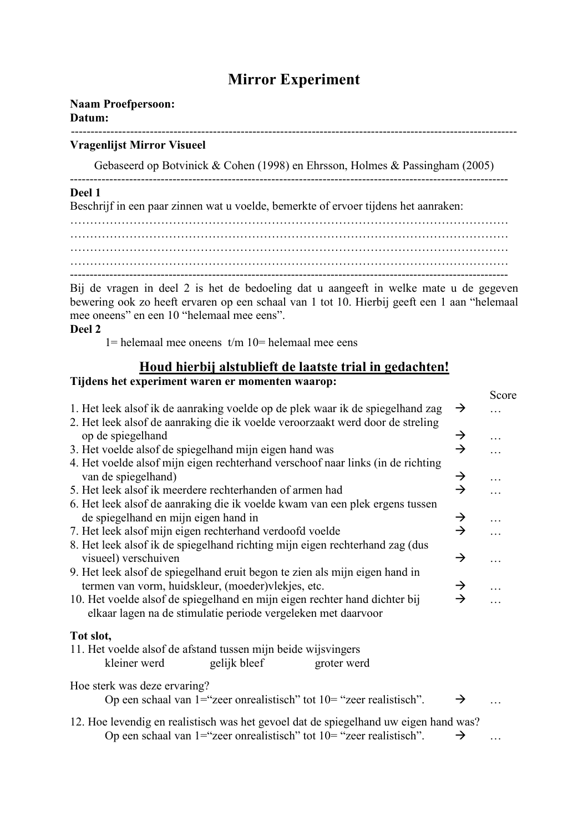# Mirror Experiment

| <b>Vragenlijst Mirror Visueel</b>                                                                                                                                                                                                                                                                                                                                                              |
|------------------------------------------------------------------------------------------------------------------------------------------------------------------------------------------------------------------------------------------------------------------------------------------------------------------------------------------------------------------------------------------------|
| Gebaseerd op Botvinick & Cohen (1998) en Ehrsson, Holmes & Passingham (2005)                                                                                                                                                                                                                                                                                                                   |
| Deel 1<br>$\overline{1}$ $\overline{1}$ $\overline{1}$ $\overline{1}$ $\overline{1}$ $\overline{1}$ $\overline{1}$ $\overline{1}$ $\overline{1}$ $\overline{1}$ $\overline{1}$ $\overline{1}$ $\overline{1}$ $\overline{1}$ $\overline{1}$ $\overline{1}$ $\overline{1}$ $\overline{1}$ $\overline{1}$ $\overline{1}$ $\overline{1}$ $\overline{1}$ $\overline{1}$ $\overline{1}$ $\overline{$ |

Beschrijf in een paar zinnen wat u voelde, bemerkte of ervoer tijdens het aanraken:

………………………………………………………………………………………………… ………………………………………………………………………………………………… ………………………………………………………………………………………………… ………………………………………………………………………………………………… ---------------------------------------------------------------------------------------------------------------

Bij de vragen in deel 2 is het de bedoeling dat u aangeeft in welke mate u de gegeven bewering ook zo heeft ervaren op een schaal van 1 tot 10. Hierbij geeft een 1 aan "helemaal mee oneens" en een 10 "helemaal mee eens".

# Deel 2

Naam Proefpersoon:

Datum:

1= helemaal mee oneens  $t/m$  10= helemaal mee eens

# Houd hierbij alstublieft de laatste trial in gedachten! Tijdens het experiment waren er momenten waarop:

|                                                                                                        |               | Score    |
|--------------------------------------------------------------------------------------------------------|---------------|----------|
| 1. Het leek alsof ik de aanraking voelde op de plek waar ik de spiegelhand zag                         | →             |          |
| 2. Het leek alsof de aanraking die ik voelde veroorzaakt werd door de streling<br>op de spiegelhand    | →             | .        |
| 3. Het voelde alsof de spiegelhand mijn eigen hand was                                                 | $\rightarrow$ |          |
| 4. Het voelde alsof mijn eigen rechterhand verschoof naar links (in de richting<br>van de spiegelhand) | $\rightarrow$ |          |
| 5. Het leek alsof ik meerdere rechterhanden of armen had                                               | $\rightarrow$ | .        |
| 6. Het leek alsof de aanraking die ik voelde kwam van een plek ergens tussen                           |               |          |
| de spiegelhand en mijn eigen hand in                                                                   | $\rightarrow$ | .        |
| 7. Het leek alsof mijn eigen rechterhand verdoofd voelde                                               | $\rightarrow$ |          |
| 8. Het leek alsof ik de spiegelhand richting mijn eigen rechterhand zag (dus<br>visueel) verschuiven   | $\rightarrow$ | .        |
| 9. Het leek alsof de spiegelhand eruit begon te zien als mijn eigen hand in                            |               |          |
| termen van vorm, huidskleur, (moeder) vlekjes, etc.                                                    | $\rightarrow$ |          |
| 10. Het voelde alsof de spiegelhand en mijn eigen rechter hand dichter bij                             | $\rightarrow$ |          |
| elkaar lagen na de stimulatie periode vergeleken met daarvoor                                          |               |          |
| Tot slot,                                                                                              |               |          |
| 11. Het voelde alsof de afstand tussen mijn beide wijsvingers                                          |               |          |
| gelijk bleef<br>kleiner werd<br>groter werd                                                            |               |          |
| Hoe sterk was deze ervaring?                                                                           |               |          |
| Op een schaal van $1 =$ "zeer onrealistisch" tot $10 =$ "zeer realistisch".                            | $\rightarrow$ |          |
| 12. Hoe levendig en realistisch was het gevoel dat de spiegelhand uw eigen hand was?                   |               |          |
| Op een schaal van $1 =$ "zeer onrealistisch" tot $10 =$ "zeer realistisch".                            | →             | $\cdots$ |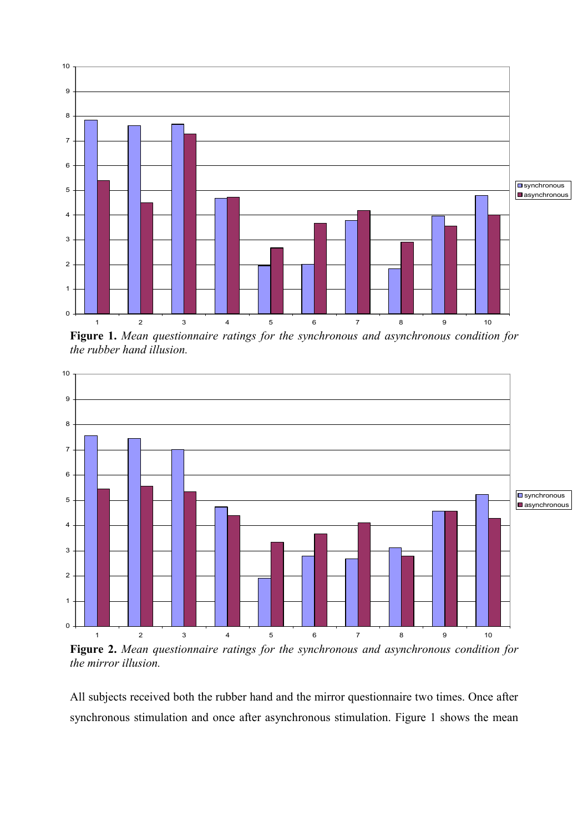

Figure 1. Mean questionnaire ratings for the synchronous and asynchronous condition for the rubber hand illusion.



Figure 2. Mean questionnaire ratings for the synchronous and asynchronous condition for the mirror illusion.

All subjects received both the rubber hand and the mirror questionnaire two times. Once after synchronous stimulation and once after asynchronous stimulation. Figure 1 shows the mean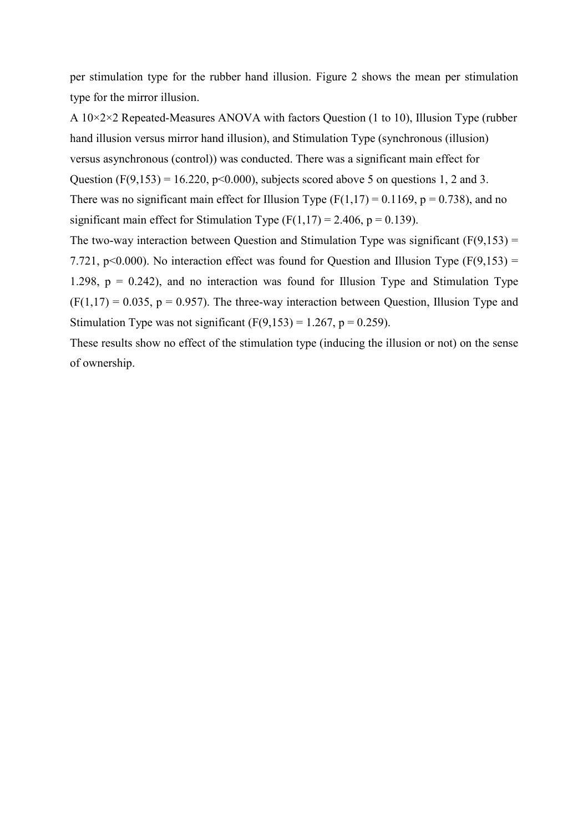per stimulation type for the rubber hand illusion. Figure 2 shows the mean per stimulation type for the mirror illusion.

A 10×2×2 Repeated-Measures ANOVA with factors Question (1 to 10), Illusion Type (rubber hand illusion versus mirror hand illusion), and Stimulation Type (synchronous (illusion) versus asynchronous (control)) was conducted. There was a significant main effect for Question (F(9,153) = 16.220, p<0.000), subjects scored above 5 on questions 1, 2 and 3. There was no significant main effect for Illusion Type  $(F(1,17) = 0.1169, p = 0.738)$ , and no significant main effect for Stimulation Type  $(F(1,17) = 2.406, p = 0.139)$ . The two-way interaction between Question and Stimulation Type was significant  $(F(9,153) =$ 

7.721, p<0.000). No interaction effect was found for Question and Illusion Type ( $F(9,153) =$ 1.298,  $p = 0.242$ ), and no interaction was found for Illusion Type and Stimulation Type  $(F(1,17) = 0.035, p = 0.957)$ . The three-way interaction between Question, Illusion Type and Stimulation Type was not significant  $(F(9,153) = 1.267, p = 0.259)$ .

These results show no effect of the stimulation type (inducing the illusion or not) on the sense of ownership.